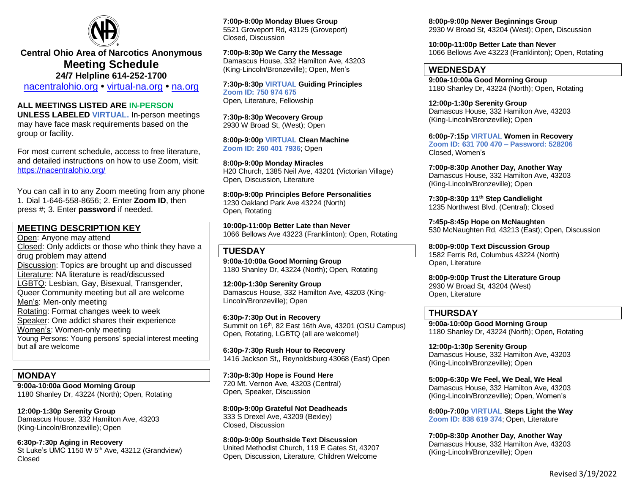

**Central Ohio Area of Narcotics Anonymous Meeting Schedule 24/7 Helpline 614-252-1700**

[nacentralohio.org](https://nacentralohio.org/) **•** [virtual-na.org](https://virtual-na.org/) **•** [na.org](about:blank)

#### **ALL MEETINGS LISTED ARE IN-PERSON**

**UNLESS LABELED VIRTUAL.** In-person meetings may have face mask requirements based on the group or facility.

For most current schedule, access to free literature, and detailed instructions on how to use Zoom, visit: [https://nacentralohio.org/](about:blank)

You can call in to any Zoom meeting from any phone 1. Dial 1-646-558-8656; 2. Enter **Zoom ID**, then press #; 3. Enter **password** if needed.

### **MEETING DESCRIPTION KEY**

Open: Anyone may attend Closed: Only addicts or those who think they have a drug problem may attend Discussion: Topics are brought up and discussed Literature: NA literature is read/discussed LGBTQ: Lesbian, Gay, Bisexual, Transgender, Queer Community meeting but all are welcome Men's: Men-only meeting Rotating: Format changes week to week Speaker: One addict shares their experience Women's: Women-only meeting Young Persons: Young persons' special interest meeting but all are welcome

## **MONDAY**

**9:00a-10:00a Good Morning Group** 1180 Shanley Dr, 43224 (North); Open, Rotating

**12:00p-1:30p Serenity Group** Damascus House, 332 Hamilton Ave, 43203 (King-Lincoln/Bronzeville); Open

**6:30p-7:30p Aging in Recovery** St Luke's UMC 1150 W 5<sup>th</sup> Ave, 43212 (Grandview) Closed

**7:00p-8:00p Monday Blues Group** 5521 Groveport Rd, 43125 (Groveport) Closed, Discussion

**7:00p-8:30p We Carry the Message** Damascus House, 332 Hamilton Ave, 43203 (King-Lincoln/Bronzeville); Open, Men's

**7:30p-8:30p VIRTUAL Guiding Principles Zoom ID: 750 974 675** Open, Literature, Fellowship

**7:30p-8:30p Wecovery Group** 2930 W Broad St, (West); Open

**8:00p-9:00p VIRTUAL Clean Machine Zoom ID: 260 401 7936**; Open

**8:00p-9:00p Monday Miracles** H20 Church, 1385 Neil Ave, 43201 (Victorian Village) Open, Discussion, Literature

**8:00p-9:00p Principles Before Personalities** 1230 Oakland Park Ave 43224 (North) Open, Rotating

**10:00p-11:00p Better Late than Never** 1066 Bellows Ave 43223 (Franklinton); Open, Rotating

#### **TUESDAY**

**9:00a-10:00a Good Morning Group** 1180 Shanley Dr, 43224 (North); Open, Rotating

**12:00p-1:30p Serenity Group** Damascus House, 332 Hamilton Ave, 43203 (King-Lincoln/Bronzeville); Open

**6:30p-7:30p Out in Recovery** Summit on 16<sup>th</sup>, 82 East 16th Ave, 43201 (OSU Campus) Open, Rotating, LGBTQ (all are welcome!)

**6:30p-7:30p Rush Hour to Recovery** 1416 Jackson St,, Reynoldsburg 43068 (East) Open

**7:30p-8:30p Hope is Found Here** 720 Mt. Vernon Ave, 43203 (Central) Open, Speaker, Discussion

**8:00p-9:00p Grateful Not Deadheads** 333 S Drexel Ave, 43209 (Bexley) Closed, Discussion

**8:00p-9:00p Southside Text Discussion** United Methodist Church, 119 E Gates St, 43207 Open, Discussion, Literature, Children Welcome

**8:00p-9:00p Newer Beginnings Group** 2930 W Broad St, 43204 (West); Open, Discussion

**10:00p-11:00p Better Late than Never** 1066 Bellows Ave 43223 (Franklinton); Open, Rotating

### **WEDNESDAY**

**9:00a-10:00a Good Morning Group** 1180 Shanley Dr, 43224 (North); Open, Rotating

**12:00p-1:30p Serenity Group** Damascus House, 332 Hamilton Ave, 43203 (King-Lincoln/Bronzeville); Open

**6:00p-7:15p VIRTUAL Women in Recovery Zoom ID: 631 700 470 – Password: 528206** Closed, Women's

**7:00p-8:30p Another Day, Another Way** Damascus House, 332 Hamilton Ave, 43203 (King-Lincoln/Bronzeville); Open

**7:30p-8:30p 11th Step Candlelight** 1235 Northwest Blvd. (Central); Closed

**7:45p-8:45p Hope on McNaughten** 530 McNaughten Rd, 43213 (East); Open, Discussion

**8:00p-9:00p Text Discussion Group** 1582 Ferris Rd, Columbus 43224 (North) Open, Literature

**8:00p-9:00p Trust the Literature Group** 2930 W Broad St, 43204 (West) Open, Literature

### **THURSDAY**

**9:00a-10:00p Good Morning Group** 1180 Shanley Dr, 43224 (North); Open, Rotating

**12:00p-1:30p Serenity Group** Damascus House, 332 Hamilton Ave, 43203 (King-Lincoln/Bronzeville); Open

**5:00p-6:30p We Feel, We Deal, We Heal** Damascus House, 332 Hamilton Ave, 43203 (King-Lincoln/Bronzeville); Open, Women's

**6:00p-7:00p VIRTUAL Steps Light the Way Zoom ID: 838 619 374**; Open, Literature

**7:00p-8:30p Another Day, Another Way** Damascus House, 332 Hamilton Ave, 43203 (King-Lincoln/Bronzeville); Open